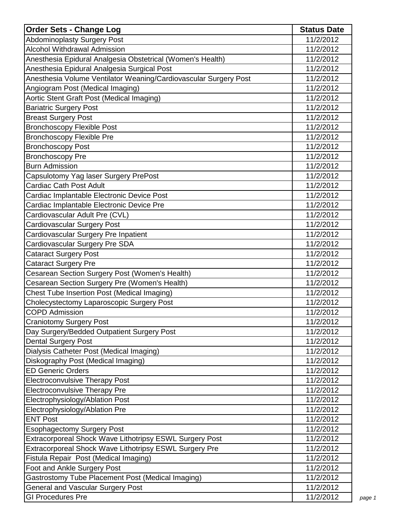| <b>Abdominoplasty Surgery Post</b><br>11/2/2012<br><b>Alcohol Withdrawal Admission</b><br>11/2/2012<br>Anesthesia Epidural Analgesia Obstetrical (Women's Health)<br>11/2/2012<br>Anesthesia Epidural Analgesia Surgical Post<br>11/2/2012<br>Anesthesia Volume Ventilator Weaning/Cardiovascular Surgery Post<br>11/2/2012<br>Angiogram Post (Medical Imaging)<br>11/2/2012<br>Aortic Stent Graft Post (Medical Imaging)<br>11/2/2012<br><b>Bariatric Surgery Post</b><br>11/2/2012<br><b>Breast Surgery Post</b><br>11/2/2012<br><b>Bronchoscopy Flexible Post</b><br>11/2/2012<br><b>Bronchoscopy Flexible Pre</b><br>11/2/2012<br><b>Bronchoscopy Post</b><br>11/2/2012<br><b>Bronchoscopy Pre</b><br>11/2/2012<br><b>Burn Admission</b><br>11/2/2012<br>Capsulotomy Yag laser Surgery PrePost<br>11/2/2012<br><b>Cardiac Cath Post Adult</b><br>11/2/2012<br>Cardiac Implantable Electronic Device Post<br>11/2/2012<br>Cardiac Implantable Electronic Device Pre<br>11/2/2012<br>Cardiovascular Adult Pre (CVL)<br>11/2/2012<br>Cardiovascular Surgery Post<br>11/2/2012<br>Cardiovascular Surgery Pre Inpatient<br>11/2/2012<br>Cardiovascular Surgery Pre SDA<br>11/2/2012<br><b>Cataract Surgery Post</b><br>11/2/2012<br><b>Cataract Surgery Pre</b><br>11/2/2012<br>Cesarean Section Surgery Post (Women's Health)<br>11/2/2012<br>Cesarean Section Surgery Pre (Women's Health)<br>11/2/2012<br>Chest Tube Insertion Post (Medical Imaging)<br>11/2/2012<br>Cholecystectomy Laparoscopic Surgery Post<br>11/2/2012<br><b>COPD Admission</b><br>11/2/2012<br><b>Craniotomy Surgery Post</b><br>11/2/2012<br>Day Surgery/Bedded Outpatient Surgery Post<br>11/2/2012<br><b>Dental Surgery Post</b><br>11/2/2012<br>Dialysis Catheter Post (Medical Imaging)<br>11/2/2012<br>Diskography Post (Medical Imaging)<br>11/2/2012<br><b>ED Generic Orders</b><br>11/2/2012<br><b>Electroconvulsive Therapy Post</b><br>11/2/2012<br><b>Electroconvulsive Therapy Pre</b><br>11/2/2012<br>Electrophysiology/Ablation Post<br>11/2/2012<br>Electrophysiology/Ablation Pre<br>11/2/2012<br><b>ENT Post</b><br>11/2/2012<br><b>Esophagectomy Surgery Post</b><br>11/2/2012<br>Extracorporeal Shock Wave Lithotripsy ESWL Surgery Post<br>11/2/2012<br>Extracorporeal Shock Wave Lithotripsy ESWL Surgery Pre<br>11/2/2012<br>Fistula Repair Post (Medical Imaging)<br>11/2/2012<br>Foot and Ankle Surgery Post<br>11/2/2012<br>Gastrostomy Tube Placement Post (Medical Imaging)<br>11/2/2012<br><b>General and Vascular Surgery Post</b><br>11/2/2012<br><b>GI Procedures Pre</b><br>11/2/2012 | <b>Order Sets - Change Log</b> | <b>Status Date</b> |        |
|-------------------------------------------------------------------------------------------------------------------------------------------------------------------------------------------------------------------------------------------------------------------------------------------------------------------------------------------------------------------------------------------------------------------------------------------------------------------------------------------------------------------------------------------------------------------------------------------------------------------------------------------------------------------------------------------------------------------------------------------------------------------------------------------------------------------------------------------------------------------------------------------------------------------------------------------------------------------------------------------------------------------------------------------------------------------------------------------------------------------------------------------------------------------------------------------------------------------------------------------------------------------------------------------------------------------------------------------------------------------------------------------------------------------------------------------------------------------------------------------------------------------------------------------------------------------------------------------------------------------------------------------------------------------------------------------------------------------------------------------------------------------------------------------------------------------------------------------------------------------------------------------------------------------------------------------------------------------------------------------------------------------------------------------------------------------------------------------------------------------------------------------------------------------------------------------------------------------------------------------------------------------------------------------------------------------------------------------------------------------------------------------------------------------------------------------------------------------------------------------------------------------------------------------------------------------------------------------------|--------------------------------|--------------------|--------|
|                                                                                                                                                                                                                                                                                                                                                                                                                                                                                                                                                                                                                                                                                                                                                                                                                                                                                                                                                                                                                                                                                                                                                                                                                                                                                                                                                                                                                                                                                                                                                                                                                                                                                                                                                                                                                                                                                                                                                                                                                                                                                                                                                                                                                                                                                                                                                                                                                                                                                                                                                                                                 |                                |                    |        |
|                                                                                                                                                                                                                                                                                                                                                                                                                                                                                                                                                                                                                                                                                                                                                                                                                                                                                                                                                                                                                                                                                                                                                                                                                                                                                                                                                                                                                                                                                                                                                                                                                                                                                                                                                                                                                                                                                                                                                                                                                                                                                                                                                                                                                                                                                                                                                                                                                                                                                                                                                                                                 |                                |                    |        |
|                                                                                                                                                                                                                                                                                                                                                                                                                                                                                                                                                                                                                                                                                                                                                                                                                                                                                                                                                                                                                                                                                                                                                                                                                                                                                                                                                                                                                                                                                                                                                                                                                                                                                                                                                                                                                                                                                                                                                                                                                                                                                                                                                                                                                                                                                                                                                                                                                                                                                                                                                                                                 |                                |                    |        |
|                                                                                                                                                                                                                                                                                                                                                                                                                                                                                                                                                                                                                                                                                                                                                                                                                                                                                                                                                                                                                                                                                                                                                                                                                                                                                                                                                                                                                                                                                                                                                                                                                                                                                                                                                                                                                                                                                                                                                                                                                                                                                                                                                                                                                                                                                                                                                                                                                                                                                                                                                                                                 |                                |                    |        |
|                                                                                                                                                                                                                                                                                                                                                                                                                                                                                                                                                                                                                                                                                                                                                                                                                                                                                                                                                                                                                                                                                                                                                                                                                                                                                                                                                                                                                                                                                                                                                                                                                                                                                                                                                                                                                                                                                                                                                                                                                                                                                                                                                                                                                                                                                                                                                                                                                                                                                                                                                                                                 |                                |                    |        |
|                                                                                                                                                                                                                                                                                                                                                                                                                                                                                                                                                                                                                                                                                                                                                                                                                                                                                                                                                                                                                                                                                                                                                                                                                                                                                                                                                                                                                                                                                                                                                                                                                                                                                                                                                                                                                                                                                                                                                                                                                                                                                                                                                                                                                                                                                                                                                                                                                                                                                                                                                                                                 |                                |                    |        |
|                                                                                                                                                                                                                                                                                                                                                                                                                                                                                                                                                                                                                                                                                                                                                                                                                                                                                                                                                                                                                                                                                                                                                                                                                                                                                                                                                                                                                                                                                                                                                                                                                                                                                                                                                                                                                                                                                                                                                                                                                                                                                                                                                                                                                                                                                                                                                                                                                                                                                                                                                                                                 |                                |                    |        |
|                                                                                                                                                                                                                                                                                                                                                                                                                                                                                                                                                                                                                                                                                                                                                                                                                                                                                                                                                                                                                                                                                                                                                                                                                                                                                                                                                                                                                                                                                                                                                                                                                                                                                                                                                                                                                                                                                                                                                                                                                                                                                                                                                                                                                                                                                                                                                                                                                                                                                                                                                                                                 |                                |                    |        |
|                                                                                                                                                                                                                                                                                                                                                                                                                                                                                                                                                                                                                                                                                                                                                                                                                                                                                                                                                                                                                                                                                                                                                                                                                                                                                                                                                                                                                                                                                                                                                                                                                                                                                                                                                                                                                                                                                                                                                                                                                                                                                                                                                                                                                                                                                                                                                                                                                                                                                                                                                                                                 |                                |                    |        |
|                                                                                                                                                                                                                                                                                                                                                                                                                                                                                                                                                                                                                                                                                                                                                                                                                                                                                                                                                                                                                                                                                                                                                                                                                                                                                                                                                                                                                                                                                                                                                                                                                                                                                                                                                                                                                                                                                                                                                                                                                                                                                                                                                                                                                                                                                                                                                                                                                                                                                                                                                                                                 |                                |                    |        |
|                                                                                                                                                                                                                                                                                                                                                                                                                                                                                                                                                                                                                                                                                                                                                                                                                                                                                                                                                                                                                                                                                                                                                                                                                                                                                                                                                                                                                                                                                                                                                                                                                                                                                                                                                                                                                                                                                                                                                                                                                                                                                                                                                                                                                                                                                                                                                                                                                                                                                                                                                                                                 |                                |                    |        |
|                                                                                                                                                                                                                                                                                                                                                                                                                                                                                                                                                                                                                                                                                                                                                                                                                                                                                                                                                                                                                                                                                                                                                                                                                                                                                                                                                                                                                                                                                                                                                                                                                                                                                                                                                                                                                                                                                                                                                                                                                                                                                                                                                                                                                                                                                                                                                                                                                                                                                                                                                                                                 |                                |                    |        |
|                                                                                                                                                                                                                                                                                                                                                                                                                                                                                                                                                                                                                                                                                                                                                                                                                                                                                                                                                                                                                                                                                                                                                                                                                                                                                                                                                                                                                                                                                                                                                                                                                                                                                                                                                                                                                                                                                                                                                                                                                                                                                                                                                                                                                                                                                                                                                                                                                                                                                                                                                                                                 |                                |                    |        |
|                                                                                                                                                                                                                                                                                                                                                                                                                                                                                                                                                                                                                                                                                                                                                                                                                                                                                                                                                                                                                                                                                                                                                                                                                                                                                                                                                                                                                                                                                                                                                                                                                                                                                                                                                                                                                                                                                                                                                                                                                                                                                                                                                                                                                                                                                                                                                                                                                                                                                                                                                                                                 |                                |                    |        |
|                                                                                                                                                                                                                                                                                                                                                                                                                                                                                                                                                                                                                                                                                                                                                                                                                                                                                                                                                                                                                                                                                                                                                                                                                                                                                                                                                                                                                                                                                                                                                                                                                                                                                                                                                                                                                                                                                                                                                                                                                                                                                                                                                                                                                                                                                                                                                                                                                                                                                                                                                                                                 |                                |                    |        |
|                                                                                                                                                                                                                                                                                                                                                                                                                                                                                                                                                                                                                                                                                                                                                                                                                                                                                                                                                                                                                                                                                                                                                                                                                                                                                                                                                                                                                                                                                                                                                                                                                                                                                                                                                                                                                                                                                                                                                                                                                                                                                                                                                                                                                                                                                                                                                                                                                                                                                                                                                                                                 |                                |                    |        |
|                                                                                                                                                                                                                                                                                                                                                                                                                                                                                                                                                                                                                                                                                                                                                                                                                                                                                                                                                                                                                                                                                                                                                                                                                                                                                                                                                                                                                                                                                                                                                                                                                                                                                                                                                                                                                                                                                                                                                                                                                                                                                                                                                                                                                                                                                                                                                                                                                                                                                                                                                                                                 |                                |                    |        |
|                                                                                                                                                                                                                                                                                                                                                                                                                                                                                                                                                                                                                                                                                                                                                                                                                                                                                                                                                                                                                                                                                                                                                                                                                                                                                                                                                                                                                                                                                                                                                                                                                                                                                                                                                                                                                                                                                                                                                                                                                                                                                                                                                                                                                                                                                                                                                                                                                                                                                                                                                                                                 |                                |                    |        |
|                                                                                                                                                                                                                                                                                                                                                                                                                                                                                                                                                                                                                                                                                                                                                                                                                                                                                                                                                                                                                                                                                                                                                                                                                                                                                                                                                                                                                                                                                                                                                                                                                                                                                                                                                                                                                                                                                                                                                                                                                                                                                                                                                                                                                                                                                                                                                                                                                                                                                                                                                                                                 |                                |                    |        |
|                                                                                                                                                                                                                                                                                                                                                                                                                                                                                                                                                                                                                                                                                                                                                                                                                                                                                                                                                                                                                                                                                                                                                                                                                                                                                                                                                                                                                                                                                                                                                                                                                                                                                                                                                                                                                                                                                                                                                                                                                                                                                                                                                                                                                                                                                                                                                                                                                                                                                                                                                                                                 |                                |                    |        |
|                                                                                                                                                                                                                                                                                                                                                                                                                                                                                                                                                                                                                                                                                                                                                                                                                                                                                                                                                                                                                                                                                                                                                                                                                                                                                                                                                                                                                                                                                                                                                                                                                                                                                                                                                                                                                                                                                                                                                                                                                                                                                                                                                                                                                                                                                                                                                                                                                                                                                                                                                                                                 |                                |                    |        |
|                                                                                                                                                                                                                                                                                                                                                                                                                                                                                                                                                                                                                                                                                                                                                                                                                                                                                                                                                                                                                                                                                                                                                                                                                                                                                                                                                                                                                                                                                                                                                                                                                                                                                                                                                                                                                                                                                                                                                                                                                                                                                                                                                                                                                                                                                                                                                                                                                                                                                                                                                                                                 |                                |                    |        |
|                                                                                                                                                                                                                                                                                                                                                                                                                                                                                                                                                                                                                                                                                                                                                                                                                                                                                                                                                                                                                                                                                                                                                                                                                                                                                                                                                                                                                                                                                                                                                                                                                                                                                                                                                                                                                                                                                                                                                                                                                                                                                                                                                                                                                                                                                                                                                                                                                                                                                                                                                                                                 |                                |                    |        |
|                                                                                                                                                                                                                                                                                                                                                                                                                                                                                                                                                                                                                                                                                                                                                                                                                                                                                                                                                                                                                                                                                                                                                                                                                                                                                                                                                                                                                                                                                                                                                                                                                                                                                                                                                                                                                                                                                                                                                                                                                                                                                                                                                                                                                                                                                                                                                                                                                                                                                                                                                                                                 |                                |                    |        |
|                                                                                                                                                                                                                                                                                                                                                                                                                                                                                                                                                                                                                                                                                                                                                                                                                                                                                                                                                                                                                                                                                                                                                                                                                                                                                                                                                                                                                                                                                                                                                                                                                                                                                                                                                                                                                                                                                                                                                                                                                                                                                                                                                                                                                                                                                                                                                                                                                                                                                                                                                                                                 |                                |                    |        |
|                                                                                                                                                                                                                                                                                                                                                                                                                                                                                                                                                                                                                                                                                                                                                                                                                                                                                                                                                                                                                                                                                                                                                                                                                                                                                                                                                                                                                                                                                                                                                                                                                                                                                                                                                                                                                                                                                                                                                                                                                                                                                                                                                                                                                                                                                                                                                                                                                                                                                                                                                                                                 |                                |                    |        |
|                                                                                                                                                                                                                                                                                                                                                                                                                                                                                                                                                                                                                                                                                                                                                                                                                                                                                                                                                                                                                                                                                                                                                                                                                                                                                                                                                                                                                                                                                                                                                                                                                                                                                                                                                                                                                                                                                                                                                                                                                                                                                                                                                                                                                                                                                                                                                                                                                                                                                                                                                                                                 |                                |                    |        |
|                                                                                                                                                                                                                                                                                                                                                                                                                                                                                                                                                                                                                                                                                                                                                                                                                                                                                                                                                                                                                                                                                                                                                                                                                                                                                                                                                                                                                                                                                                                                                                                                                                                                                                                                                                                                                                                                                                                                                                                                                                                                                                                                                                                                                                                                                                                                                                                                                                                                                                                                                                                                 |                                |                    |        |
|                                                                                                                                                                                                                                                                                                                                                                                                                                                                                                                                                                                                                                                                                                                                                                                                                                                                                                                                                                                                                                                                                                                                                                                                                                                                                                                                                                                                                                                                                                                                                                                                                                                                                                                                                                                                                                                                                                                                                                                                                                                                                                                                                                                                                                                                                                                                                                                                                                                                                                                                                                                                 |                                |                    |        |
|                                                                                                                                                                                                                                                                                                                                                                                                                                                                                                                                                                                                                                                                                                                                                                                                                                                                                                                                                                                                                                                                                                                                                                                                                                                                                                                                                                                                                                                                                                                                                                                                                                                                                                                                                                                                                                                                                                                                                                                                                                                                                                                                                                                                                                                                                                                                                                                                                                                                                                                                                                                                 |                                |                    |        |
|                                                                                                                                                                                                                                                                                                                                                                                                                                                                                                                                                                                                                                                                                                                                                                                                                                                                                                                                                                                                                                                                                                                                                                                                                                                                                                                                                                                                                                                                                                                                                                                                                                                                                                                                                                                                                                                                                                                                                                                                                                                                                                                                                                                                                                                                                                                                                                                                                                                                                                                                                                                                 |                                |                    |        |
|                                                                                                                                                                                                                                                                                                                                                                                                                                                                                                                                                                                                                                                                                                                                                                                                                                                                                                                                                                                                                                                                                                                                                                                                                                                                                                                                                                                                                                                                                                                                                                                                                                                                                                                                                                                                                                                                                                                                                                                                                                                                                                                                                                                                                                                                                                                                                                                                                                                                                                                                                                                                 |                                |                    |        |
|                                                                                                                                                                                                                                                                                                                                                                                                                                                                                                                                                                                                                                                                                                                                                                                                                                                                                                                                                                                                                                                                                                                                                                                                                                                                                                                                                                                                                                                                                                                                                                                                                                                                                                                                                                                                                                                                                                                                                                                                                                                                                                                                                                                                                                                                                                                                                                                                                                                                                                                                                                                                 |                                |                    |        |
|                                                                                                                                                                                                                                                                                                                                                                                                                                                                                                                                                                                                                                                                                                                                                                                                                                                                                                                                                                                                                                                                                                                                                                                                                                                                                                                                                                                                                                                                                                                                                                                                                                                                                                                                                                                                                                                                                                                                                                                                                                                                                                                                                                                                                                                                                                                                                                                                                                                                                                                                                                                                 |                                |                    |        |
|                                                                                                                                                                                                                                                                                                                                                                                                                                                                                                                                                                                                                                                                                                                                                                                                                                                                                                                                                                                                                                                                                                                                                                                                                                                                                                                                                                                                                                                                                                                                                                                                                                                                                                                                                                                                                                                                                                                                                                                                                                                                                                                                                                                                                                                                                                                                                                                                                                                                                                                                                                                                 |                                |                    |        |
|                                                                                                                                                                                                                                                                                                                                                                                                                                                                                                                                                                                                                                                                                                                                                                                                                                                                                                                                                                                                                                                                                                                                                                                                                                                                                                                                                                                                                                                                                                                                                                                                                                                                                                                                                                                                                                                                                                                                                                                                                                                                                                                                                                                                                                                                                                                                                                                                                                                                                                                                                                                                 |                                |                    |        |
|                                                                                                                                                                                                                                                                                                                                                                                                                                                                                                                                                                                                                                                                                                                                                                                                                                                                                                                                                                                                                                                                                                                                                                                                                                                                                                                                                                                                                                                                                                                                                                                                                                                                                                                                                                                                                                                                                                                                                                                                                                                                                                                                                                                                                                                                                                                                                                                                                                                                                                                                                                                                 |                                |                    |        |
|                                                                                                                                                                                                                                                                                                                                                                                                                                                                                                                                                                                                                                                                                                                                                                                                                                                                                                                                                                                                                                                                                                                                                                                                                                                                                                                                                                                                                                                                                                                                                                                                                                                                                                                                                                                                                                                                                                                                                                                                                                                                                                                                                                                                                                                                                                                                                                                                                                                                                                                                                                                                 |                                |                    |        |
|                                                                                                                                                                                                                                                                                                                                                                                                                                                                                                                                                                                                                                                                                                                                                                                                                                                                                                                                                                                                                                                                                                                                                                                                                                                                                                                                                                                                                                                                                                                                                                                                                                                                                                                                                                                                                                                                                                                                                                                                                                                                                                                                                                                                                                                                                                                                                                                                                                                                                                                                                                                                 |                                |                    |        |
|                                                                                                                                                                                                                                                                                                                                                                                                                                                                                                                                                                                                                                                                                                                                                                                                                                                                                                                                                                                                                                                                                                                                                                                                                                                                                                                                                                                                                                                                                                                                                                                                                                                                                                                                                                                                                                                                                                                                                                                                                                                                                                                                                                                                                                                                                                                                                                                                                                                                                                                                                                                                 |                                |                    |        |
|                                                                                                                                                                                                                                                                                                                                                                                                                                                                                                                                                                                                                                                                                                                                                                                                                                                                                                                                                                                                                                                                                                                                                                                                                                                                                                                                                                                                                                                                                                                                                                                                                                                                                                                                                                                                                                                                                                                                                                                                                                                                                                                                                                                                                                                                                                                                                                                                                                                                                                                                                                                                 |                                |                    |        |
|                                                                                                                                                                                                                                                                                                                                                                                                                                                                                                                                                                                                                                                                                                                                                                                                                                                                                                                                                                                                                                                                                                                                                                                                                                                                                                                                                                                                                                                                                                                                                                                                                                                                                                                                                                                                                                                                                                                                                                                                                                                                                                                                                                                                                                                                                                                                                                                                                                                                                                                                                                                                 |                                |                    |        |
|                                                                                                                                                                                                                                                                                                                                                                                                                                                                                                                                                                                                                                                                                                                                                                                                                                                                                                                                                                                                                                                                                                                                                                                                                                                                                                                                                                                                                                                                                                                                                                                                                                                                                                                                                                                                                                                                                                                                                                                                                                                                                                                                                                                                                                                                                                                                                                                                                                                                                                                                                                                                 |                                |                    |        |
|                                                                                                                                                                                                                                                                                                                                                                                                                                                                                                                                                                                                                                                                                                                                                                                                                                                                                                                                                                                                                                                                                                                                                                                                                                                                                                                                                                                                                                                                                                                                                                                                                                                                                                                                                                                                                                                                                                                                                                                                                                                                                                                                                                                                                                                                                                                                                                                                                                                                                                                                                                                                 |                                |                    |        |
|                                                                                                                                                                                                                                                                                                                                                                                                                                                                                                                                                                                                                                                                                                                                                                                                                                                                                                                                                                                                                                                                                                                                                                                                                                                                                                                                                                                                                                                                                                                                                                                                                                                                                                                                                                                                                                                                                                                                                                                                                                                                                                                                                                                                                                                                                                                                                                                                                                                                                                                                                                                                 |                                |                    |        |
|                                                                                                                                                                                                                                                                                                                                                                                                                                                                                                                                                                                                                                                                                                                                                                                                                                                                                                                                                                                                                                                                                                                                                                                                                                                                                                                                                                                                                                                                                                                                                                                                                                                                                                                                                                                                                                                                                                                                                                                                                                                                                                                                                                                                                                                                                                                                                                                                                                                                                                                                                                                                 |                                |                    |        |
|                                                                                                                                                                                                                                                                                                                                                                                                                                                                                                                                                                                                                                                                                                                                                                                                                                                                                                                                                                                                                                                                                                                                                                                                                                                                                                                                                                                                                                                                                                                                                                                                                                                                                                                                                                                                                                                                                                                                                                                                                                                                                                                                                                                                                                                                                                                                                                                                                                                                                                                                                                                                 |                                |                    |        |
|                                                                                                                                                                                                                                                                                                                                                                                                                                                                                                                                                                                                                                                                                                                                                                                                                                                                                                                                                                                                                                                                                                                                                                                                                                                                                                                                                                                                                                                                                                                                                                                                                                                                                                                                                                                                                                                                                                                                                                                                                                                                                                                                                                                                                                                                                                                                                                                                                                                                                                                                                                                                 |                                |                    | page 1 |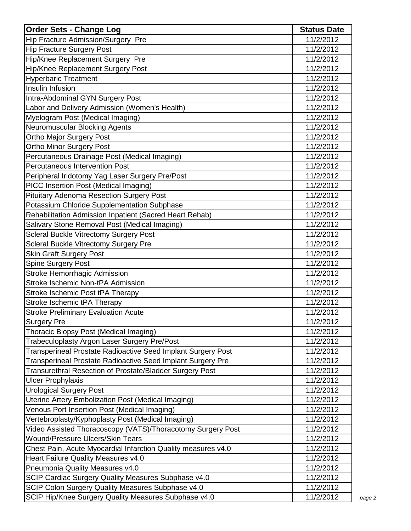| <b>Order Sets - Change Log</b>                                | <b>Status Date</b> |        |
|---------------------------------------------------------------|--------------------|--------|
| Hip Fracture Admission/Surgery Pre                            | 11/2/2012          |        |
| <b>Hip Fracture Surgery Post</b>                              | 11/2/2012          |        |
| Hip/Knee Replacement Surgery Pre                              | 11/2/2012          |        |
| Hip/Knee Replacement Surgery Post                             | 11/2/2012          |        |
| <b>Hyperbaric Treatment</b>                                   | 11/2/2012          |        |
| Insulin Infusion                                              | 11/2/2012          |        |
| Intra-Abdominal GYN Surgery Post                              | 11/2/2012          |        |
| Labor and Delivery Admission (Women's Health)                 | 11/2/2012          |        |
| Myelogram Post (Medical Imaging)                              | 11/2/2012          |        |
| Neuromuscular Blocking Agents                                 | 11/2/2012          |        |
| Ortho Major Surgery Post                                      | 11/2/2012          |        |
| Ortho Minor Surgery Post                                      | 11/2/2012          |        |
| Percutaneous Drainage Post (Medical Imaging)                  | 11/2/2012          |        |
| Percutaneous Intervention Post                                | 11/2/2012          |        |
| Peripheral Iridotomy Yag Laser Surgery Pre/Post               | 11/2/2012          |        |
| PICC Insertion Post (Medical Imaging)                         | 11/2/2012          |        |
| <b>Pituitary Adenoma Resection Surgery Post</b>               | 11/2/2012          |        |
| Potassium Chloride Supplementation Subphase                   | 11/2/2012          |        |
| Rehabilitation Admission Inpatient (Sacred Heart Rehab)       | 11/2/2012          |        |
| Salivary Stone Removal Post (Medical Imaging)                 | 11/2/2012          |        |
| <b>Scleral Buckle Vitrectomy Surgery Post</b>                 | 11/2/2012          |        |
| <b>Scleral Buckle Vitrectomy Surgery Pre</b>                  | 11/2/2012          |        |
| <b>Skin Graft Surgery Post</b>                                | 11/2/2012          |        |
| <b>Spine Surgery Post</b>                                     | 11/2/2012          |        |
| Stroke Hemorrhagic Admission                                  | 11/2/2012          |        |
| Stroke Ischemic Non-tPA Admission                             | 11/2/2012          |        |
| Stroke Ischemic Post tPA Therapy                              | 11/2/2012          |        |
| Stroke Ischemic tPA Therapy                                   | 11/2/2012          |        |
| <b>Stroke Preliminary Evaluation Acute</b>                    | 11/2/2012          |        |
| <b>Surgery Pre</b>                                            | 11/2/2012          |        |
| Thoracic Biopsy Post (Medical Imaging)                        | 11/2/2012          |        |
| Trabeculoplasty Argon Laser Surgery Pre/Post                  | 11/2/2012          |        |
| Transperineal Prostate Radioactive Seed Implant Surgery Post  | 11/2/2012          |        |
| Transperineal Prostate Radioactive Seed Implant Surgery Pre   | 11/2/2012          |        |
| Transurethral Resection of Prostate/Bladder Surgery Post      | 11/2/2012          |        |
| <b>Ulcer Prophylaxis</b>                                      | 11/2/2012          |        |
| <b>Urological Surgery Post</b>                                | 11/2/2012          |        |
| Uterine Artery Embolization Post (Medical Imaging)            | 11/2/2012          |        |
| Venous Port Insertion Post (Medical Imaging)                  | 11/2/2012          |        |
| Vertebroplasty/Kyphoplasty Post (Medical Imaging)             | 11/2/2012          |        |
| Video Assisted Thoracoscopy (VATS)/Thoracotomy Surgery Post   | 11/2/2012          |        |
| <b>Wound/Pressure Ulcers/Skin Tears</b>                       | 11/2/2012          |        |
| Chest Pain, Acute Myocardial Infarction Quality measures v4.0 | 11/2/2012          |        |
| Heart Failure Quality Measures v4.0                           | 11/2/2012          |        |
| Pneumonia Quality Measures v4.0                               | 11/2/2012          |        |
| SCIP Cardiac Surgery Quality Measures Subphase v4.0           | 11/2/2012          |        |
| SCIP Colon Surgery Quality Measures Subphase v4.0             | 11/2/2012          |        |
| SCIP Hip/Knee Surgery Quality Measures Subphase v4.0          | 11/2/2012          | page 2 |